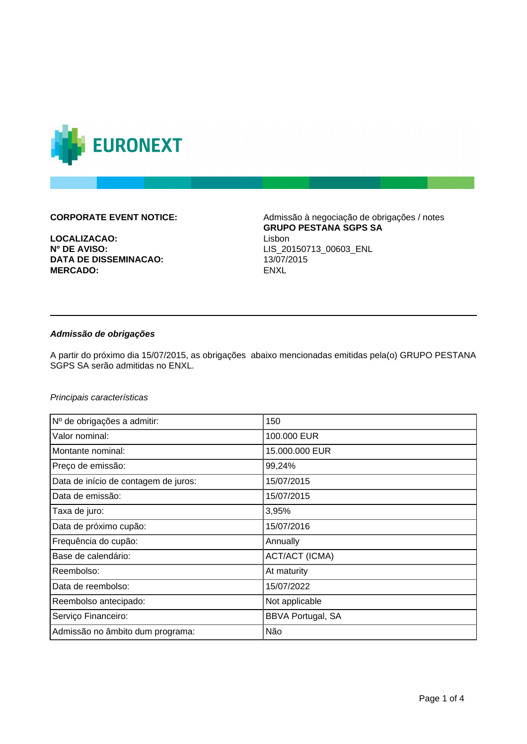

**LOCALIZACAO:**<br> **N° DE AVISO:**<br> **N° DE AVISO:**<br>
LIS 20 **DATA DE DISSEMINACAO:** 13/07/2015 **MERCADO:** ENXL

**CORPORATE EVENT NOTICE:** Admissão à negociação de obrigações / notes **GRUPO PESTANA SGPS SA N° DE AVISO:** LIS\_20150713\_00603\_ENL

## **Admissão de obrigações**

A partir do próximo dia 15/07/2015, as obrigações abaixo mencionadas emitidas pela(o) GRUPO PESTANA SGPS SA serão admitidas no ENXL.

Principais características

| Nº de obrigações a admitir:          | 150                      |
|--------------------------------------|--------------------------|
| Valor nominal:                       | 100.000 EUR              |
| Montante nominal:                    | 15.000.000 EUR           |
| Preço de emissão:                    | 99,24%                   |
| Data de início de contagem de juros: | 15/07/2015               |
| Data de emissão:                     | 15/07/2015               |
| Taxa de juro:                        | 3,95%                    |
| Data de próximo cupão:               | 15/07/2016               |
| Frequência do cupão:                 | Annually                 |
| Base de calendário:                  | <b>ACT/ACT (ICMA)</b>    |
| Reembolso:                           | At maturity              |
| Data de reembolso:                   | 15/07/2022               |
| Reembolso antecipado:                | Not applicable           |
| Serviço Financeiro:                  | <b>BBVA Portugal, SA</b> |
| Admissão no âmbito dum programa:     | Não                      |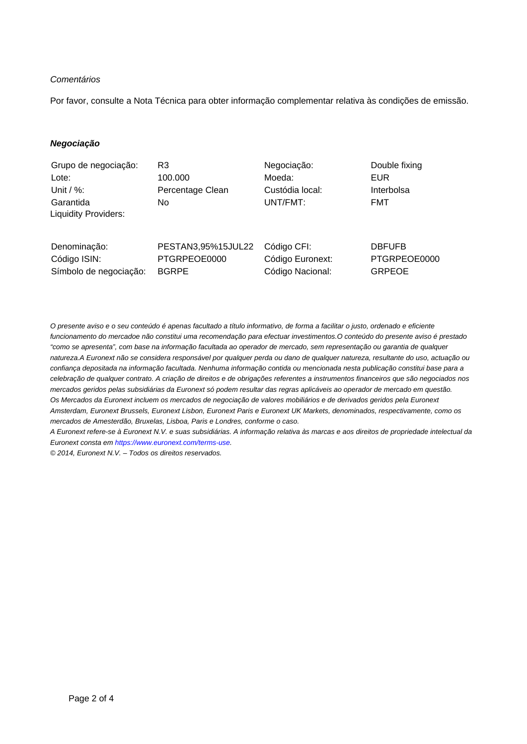## **Comentários**

Por favor, consulte a Nota Técnica para obter informação complementar relativa às condições de emissão.

### **Negociação**

| Grupo de negociação:                                   | R3                                                 | Negociação:                                         | Double fixing                                  |
|--------------------------------------------------------|----------------------------------------------------|-----------------------------------------------------|------------------------------------------------|
| Lote:                                                  | 100.000                                            | Moeda:                                              | <b>EUR</b>                                     |
| Unit / $\%$ :                                          | Percentage Clean                                   | Custódia local:                                     | Interbolsa                                     |
| Garantida<br><b>Liquidity Providers:</b>               | No.                                                | UNT/FMT:                                            | <b>FMT</b>                                     |
| Denominação:<br>Código ISIN:<br>Símbolo de negociação: | PESTAN3,95%15JUL22<br>PTGRPEOE0000<br><b>BGRPE</b> | Código CFI:<br>Código Euronext:<br>Código Nacional: | <b>DBFUFB</b><br>PTGRPEOE0000<br><b>GRPEOE</b> |

O presente aviso e o seu conteúdo é apenas facultado a título informativo, de forma a facilitar o justo, ordenado e eficiente funcionamento do mercadoe não constitui uma recomendação para efectuar investimentos.O conteúdo do presente aviso é prestado "como se apresenta", com base na informação facultada ao operador de mercado, sem representação ou garantia de qualquer natureza.A Euronext não se considera responsável por qualquer perda ou dano de qualquer natureza, resultante do uso, actuação ou confiança depositada na informação facultada. Nenhuma informação contida ou mencionada nesta publicação constitui base para a celebração de qualquer contrato. A criação de direitos e de obrigações referentes a instrumentos financeiros que são negociados nos mercados geridos pelas subsidiárias da Euronext só podem resultar das regras aplicáveis ao operador de mercado em questão. Os Mercados da Euronext incluem os mercados de negociação de valores mobiliários e de derivados geridos pela Euronext Amsterdam, Euronext Brussels, Euronext Lisbon, Euronext Paris e Euronext UK Markets, denominados, respectivamente, como os mercados de Amesterdão, Bruxelas, Lisboa, Paris e Londres, conforme o caso.

A Euronext refere-se à Euronext N.V. e suas subsidiárias. A informação relativa às marcas e aos direitos de propriedade intelectual da Euronext consta em [https://www.euronext.com/terms-use.](https://www.euronext.com/terms-use)

© 2014, Euronext N.V. – Todos os direitos reservados.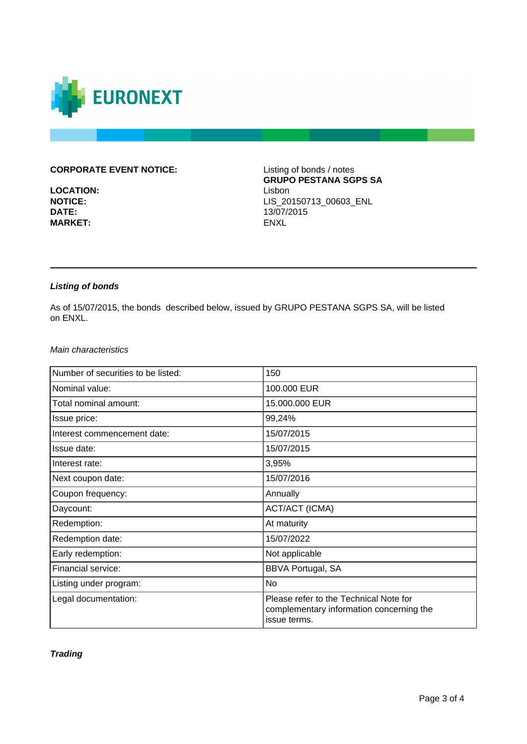

# **CORPORATE EVENT NOTICE:** Listing of bonds / notes

**LOCATION:** Lisbon<br> **NOTICE:** LIS 20 **MARKET:** 

**GRUPO PESTANA SGPS SA NOTICE:** LIS\_20150713\_00603\_ENL<br>DATE: 13/07/2015 **DATE:** 13/07/2015

# **Listing of bonds**

As of 15/07/2015, the bonds described below, issued by GRUPO PESTANA SGPS SA, will be listed on ENXL.

#### Main characteristics

| Number of securities to be listed: | 150                                                                                                |
|------------------------------------|----------------------------------------------------------------------------------------------------|
| Nominal value:                     | 100.000 EUR                                                                                        |
| Total nominal amount:              | 15.000.000 EUR                                                                                     |
| Issue price:                       | 99,24%                                                                                             |
| Interest commencement date:        | 15/07/2015                                                                                         |
| Issue date:                        | 15/07/2015                                                                                         |
| Interest rate:                     | 3,95%                                                                                              |
| Next coupon date:                  | 15/07/2016                                                                                         |
| Coupon frequency:                  | Annually                                                                                           |
| Daycount:                          | <b>ACT/ACT (ICMA)</b>                                                                              |
| Redemption:                        | At maturity                                                                                        |
| Redemption date:                   | 15/07/2022                                                                                         |
| Early redemption:                  | Not applicable                                                                                     |
| Financial service:                 | <b>BBVA Portugal, SA</b>                                                                           |
| Listing under program:             | No                                                                                                 |
| Legal documentation:               | Please refer to the Technical Note for<br>complementary information concerning the<br>issue terms. |

**Trading**